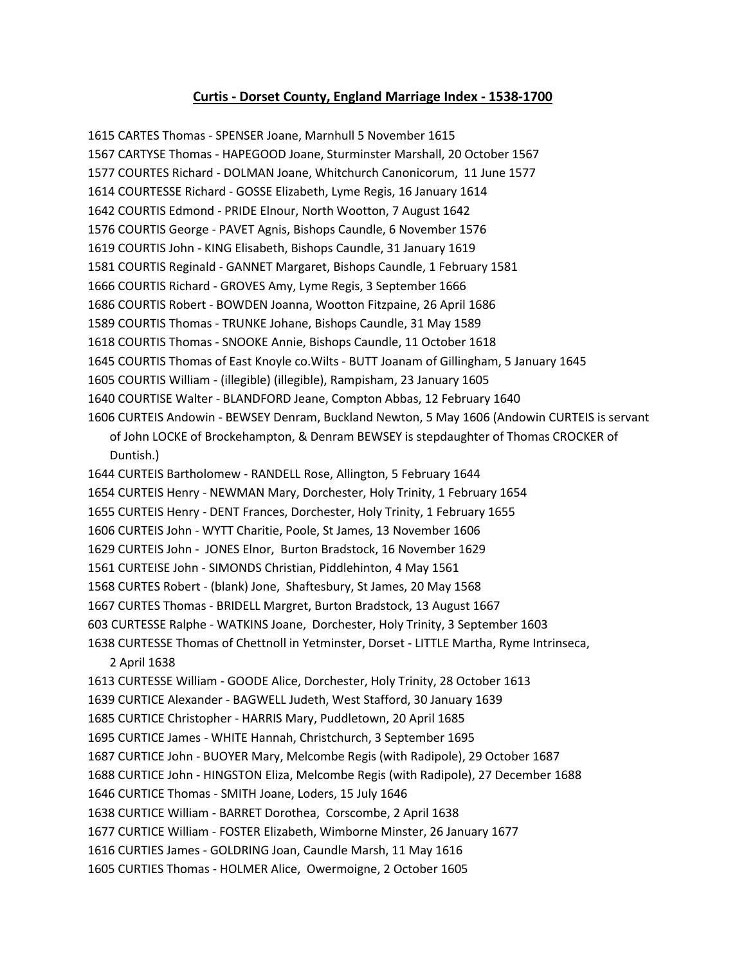## **Curtis - Dorset County, England Marriage Index - 1538-1700**

1615 CARTES Thomas - SPENSER Joane, Marnhull 5 November 1615 1567 CARTYSE Thomas - HAPEGOOD Joane, Sturminster Marshall, 20 October 1567 1577 COURTES Richard - DOLMAN Joane, Whitchurch Canonicorum, 11 June 1577 1614 COURTESSE Richard - GOSSE Elizabeth, Lyme Regis, 16 January 1614 1642 COURTIS Edmond - PRIDE Elnour, North Wootton, 7 August 1642 1576 COURTIS George - PAVET Agnis, Bishops Caundle, 6 November 1576 1619 COURTIS John - KING Elisabeth, Bishops Caundle, 31 January 1619 1581 COURTIS Reginald - GANNET Margaret, Bishops Caundle, 1 February 1581 1666 COURTIS Richard - GROVES Amy, Lyme Regis, 3 September 1666 1686 COURTIS Robert - BOWDEN Joanna, Wootton Fitzpaine, 26 April 1686 1589 COURTIS Thomas - TRUNKE Johane, Bishops Caundle, 31 May 1589 1618 COURTIS Thomas - SNOOKE Annie, Bishops Caundle, 11 October 1618 1645 COURTIS Thomas of East Knoyle co.Wilts - BUTT Joanam of Gillingham, 5 January 1645 1605 COURTIS William - (illegible) (illegible), Rampisham, 23 January 1605 1640 COURTISE Walter - BLANDFORD Jeane, Compton Abbas, 12 February 1640 1606 CURTEIS Andowin - BEWSEY Denram, Buckland Newton, 5 May 1606 (Andowin CURTEIS is servant

of John LOCKE of Brockehampton, & Denram BEWSEY is stepdaughter of Thomas CROCKER of Duntish.)

1644 CURTEIS Bartholomew - RANDELL Rose, Allington, 5 February 1644 1654 CURTEIS Henry - NEWMAN Mary, Dorchester, Holy Trinity, 1 February 1654 1655 CURTEIS Henry - DENT Frances, Dorchester, Holy Trinity, 1 February 1655 1606 CURTEIS John - WYTT Charitie, Poole, St James, 13 November 1606 1629 CURTEIS John - JONES Elnor, Burton Bradstock, 16 November 1629 1561 CURTEISE John - SIMONDS Christian, Piddlehinton, 4 May 1561 1568 CURTES Robert - (blank) Jone, Shaftesbury, St James, 20 May 1568 1667 CURTES Thomas - BRIDELL Margret, Burton Bradstock, 13 August 1667 603 CURTESSE Ralphe - WATKINS Joane, Dorchester, Holy Trinity, 3 September 1603 1638 CURTESSE Thomas of Chettnoll in Yetminster, Dorset - LITTLE Martha, Ryme Intrinseca,

2 April 1638

1613 CURTESSE William - GOODE Alice, Dorchester, Holy Trinity, 28 October 1613 1639 CURTICE Alexander - BAGWELL Judeth, West Stafford, 30 January 1639 1685 CURTICE Christopher - HARRIS Mary, Puddletown, 20 April 1685 1695 CURTICE James - WHITE Hannah, Christchurch, 3 September 1695 1687 CURTICE John - BUOYER Mary, Melcombe Regis (with Radipole), 29 October 1687 1688 CURTICE John - HINGSTON Eliza, Melcombe Regis (with Radipole), 27 December 1688 1646 CURTICE Thomas - SMITH Joane, Loders, 15 July 1646 1638 CURTICE William - BARRET Dorothea, Corscombe, 2 April 1638 1677 CURTICE William - FOSTER Elizabeth, Wimborne Minster, 26 January 1677 1616 CURTIES James - GOLDRING Joan, Caundle Marsh, 11 May 1616 1605 CURTIES Thomas - HOLMER Alice, Owermoigne, 2 October 1605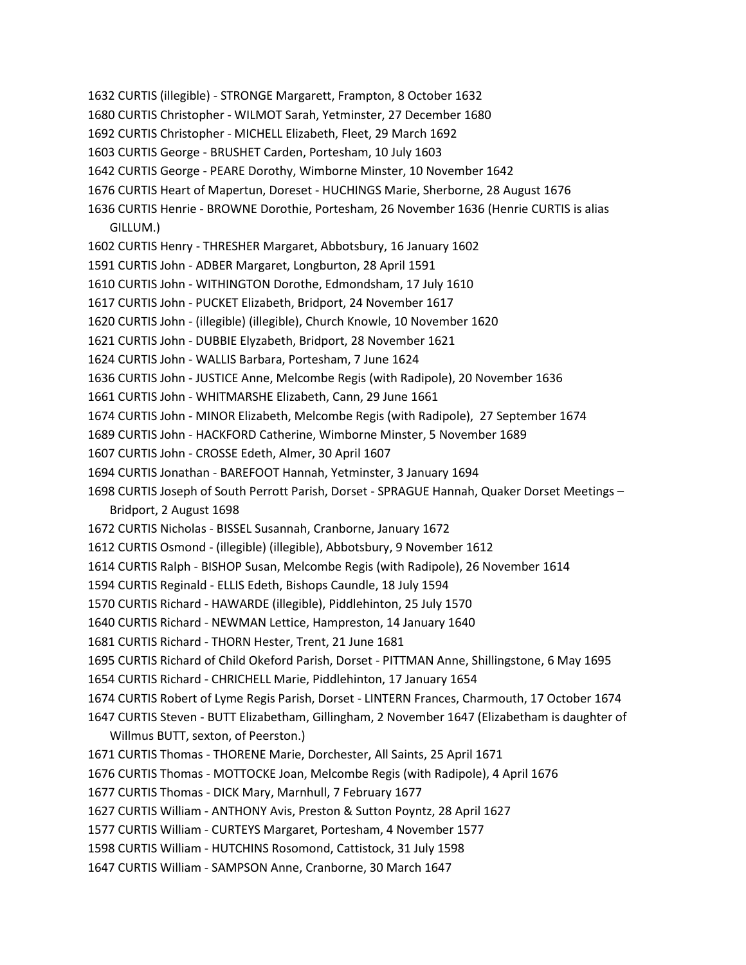1632 CURTIS (illegible) - STRONGE Margarett, Frampton, 8 October 1632

1680 CURTIS Christopher - WILMOT Sarah, Yetminster, 27 December 1680

1692 CURTIS Christopher - MICHELL Elizabeth, Fleet, 29 March 1692

1603 CURTIS George - BRUSHET Carden, Portesham, 10 July 1603

1642 CURTIS George - PEARE Dorothy, Wimborne Minster, 10 November 1642

1676 CURTIS Heart of Mapertun, Doreset - HUCHINGS Marie, Sherborne, 28 August 1676

1636 CURTIS Henrie - BROWNE Dorothie, Portesham, 26 November 1636 (Henrie CURTIS is alias GILLUM.)

1602 CURTIS Henry - THRESHER Margaret, Abbotsbury, 16 January 1602

1591 CURTIS John - ADBER Margaret, Longburton, 28 April 1591

1610 CURTIS John - WITHINGTON Dorothe, Edmondsham, 17 July 1610

1617 CURTIS John - PUCKET Elizabeth, Bridport, 24 November 1617

1620 CURTIS John - (illegible) (illegible), Church Knowle, 10 November 1620

1621 CURTIS John - DUBBIE Elyzabeth, Bridport, 28 November 1621

1624 CURTIS John - WALLIS Barbara, Portesham, 7 June 1624

1636 CURTIS John - JUSTICE Anne, Melcombe Regis (with Radipole), 20 November 1636

1661 CURTIS John - WHITMARSHE Elizabeth, Cann, 29 June 1661

1674 CURTIS John - MINOR Elizabeth, Melcombe Regis (with Radipole), 27 September 1674

1689 CURTIS John - HACKFORD Catherine, Wimborne Minster, 5 November 1689

1607 CURTIS John - CROSSE Edeth, Almer, 30 April 1607

1694 CURTIS Jonathan - BAREFOOT Hannah, Yetminster, 3 January 1694

1698 CURTIS Joseph of South Perrott Parish, Dorset - SPRAGUE Hannah, Quaker Dorset Meetings –

Bridport, 2 August 1698

1672 CURTIS Nicholas - BISSEL Susannah, Cranborne, January 1672

1612 CURTIS Osmond - (illegible) (illegible), Abbotsbury, 9 November 1612

1614 CURTIS Ralph - BISHOP Susan, Melcombe Regis (with Radipole), 26 November 1614

1594 CURTIS Reginald - ELLIS Edeth, Bishops Caundle, 18 July 1594

1570 CURTIS Richard - HAWARDE (illegible), Piddlehinton, 25 July 1570

1640 CURTIS Richard - NEWMAN Lettice, Hampreston, 14 January 1640

1681 CURTIS Richard - THORN Hester, Trent, 21 June 1681

1695 CURTIS Richard of Child Okeford Parish, Dorset - PITTMAN Anne, Shillingstone, 6 May 1695

1654 CURTIS Richard - CHRICHELL Marie, Piddlehinton, 17 January 1654

1674 CURTIS Robert of Lyme Regis Parish, Dorset - LINTERN Frances, Charmouth, 17 October 1674

1647 CURTIS Steven - BUTT Elizabetham, Gillingham, 2 November 1647 (Elizabetham is daughter of Willmus BUTT, sexton, of Peerston.)

1671 CURTIS Thomas - THORENE Marie, Dorchester, All Saints, 25 April 1671

1676 CURTIS Thomas - MOTTOCKE Joan, Melcombe Regis (with Radipole), 4 April 1676

1677 CURTIS Thomas - DICK Mary, Marnhull, 7 February 1677

1627 CURTIS William - ANTHONY Avis, Preston & Sutton Poyntz, 28 April 1627

1577 CURTIS William - CURTEYS Margaret, Portesham, 4 November 1577

1598 CURTIS William - HUTCHINS Rosomond, Cattistock, 31 July 1598

1647 CURTIS William - SAMPSON Anne, Cranborne, 30 March 1647